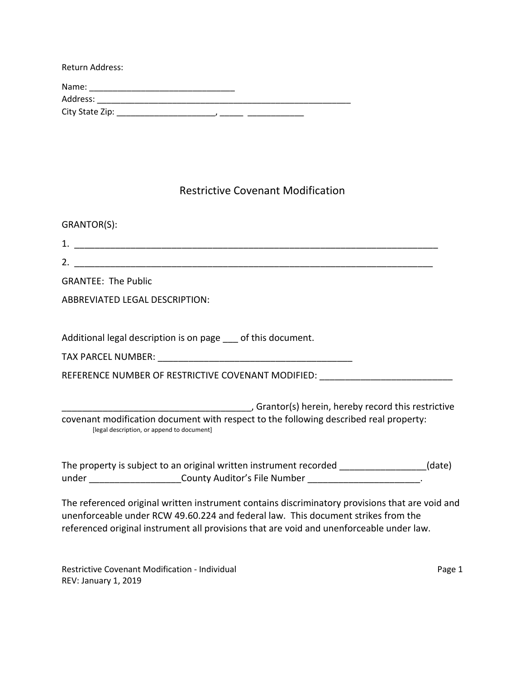| Return Address: |
|-----------------|
| Name:           |
| Address:        |
| City State Zip: |

## Restrictive Covenant Modification

| GRANTOR(S):                                                                                                                                                                                                                                                                      |
|----------------------------------------------------------------------------------------------------------------------------------------------------------------------------------------------------------------------------------------------------------------------------------|
|                                                                                                                                                                                                                                                                                  |
|                                                                                                                                                                                                                                                                                  |
| <b>GRANTEE: The Public</b>                                                                                                                                                                                                                                                       |
| <b>ABBREVIATED LEGAL DESCRIPTION:</b>                                                                                                                                                                                                                                            |
| Additional legal description is on page of this document.                                                                                                                                                                                                                        |
|                                                                                                                                                                                                                                                                                  |
| REFERENCE NUMBER OF RESTRICTIVE COVENANT MODIFIED: _____________________________                                                                                                                                                                                                 |
| Grantor(s) herein, hereby record this restrictive (5) Marely record this restrictive<br>covenant modification document with respect to the following described real property:<br>[legal description, or append to document]                                                      |
| The property is subject to an original written instrument recorded ______________(date)<br>under ______________________County Auditor's File Number _______________________                                                                                                      |
| The referenced original written instrument contains discriminatory provisions that are void and<br>unenforceable under RCW 49.60.224 and federal law. This document strikes from the<br>referenced original instrument all provisions that are void and unenforceable under law. |

Restrictive Covenant Modification - Individual **Page 1** and Page 1 REV: January 1, 2019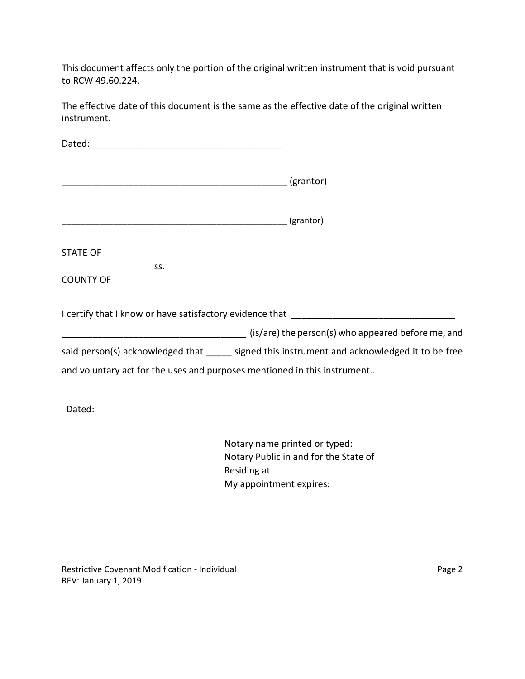This document affects only the portion of the original written instrument that is void pursuant to RCW 49.60.224.

The effective date of this document is the same as the effective date of the original written instrument.

|                                                                          | (grantor)                                                                                    |
|--------------------------------------------------------------------------|----------------------------------------------------------------------------------------------|
|                                                                          | (grantor)                                                                                    |
| <b>STATE OF</b>                                                          |                                                                                              |
| SS.<br><b>COUNTY OF</b>                                                  |                                                                                              |
|                                                                          | I certify that I know or have satisfactory evidence that                                     |
|                                                                          |                                                                                              |
|                                                                          | said person(s) acknowledged that _____ signed this instrument and acknowledged it to be free |
| and voluntary act for the uses and purposes mentioned in this instrument |                                                                                              |
| Dated:                                                                   |                                                                                              |

Notary name printed or typed: Notary Public in and for the State of Residing at My appointment expires:

Restrictive Covenant Modification - Individual **Page 2** Page 2 REV: January 1, 2019